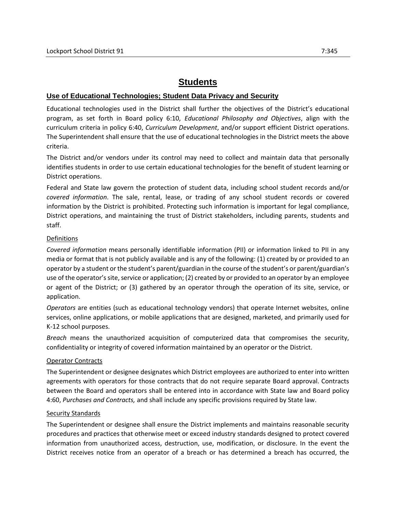# **Students**

## **Use of Educational Technologies; Student Data Privacy and Security**

Educational technologies used in the District shall further the objectives of the District's educational program, as set forth in Board policy 6:10, *Educational Philosophy and Objectives*, align with the curriculum criteria in policy 6:40, *Curriculum Development*, and/or support efficient District operations. The Superintendent shall ensure that the use of educational technologies in the District meets the above criteria.

The District and/or vendors under its control may need to collect and maintain data that personally identifies students in order to use certain educational technologies for the benefit of student learning or District operations.

Federal and State law govern the protection of student data, including school student records and/or *covered information*. The sale, rental, lease, or trading of any school student records or covered information by the District is prohibited. Protecting such information is important for legal compliance, District operations, and maintaining the trust of District stakeholders, including parents, students and staff.

### Definitions

*Covered information* means personally identifiable information (PII) or information linked to PII in any media or format that is not publicly available and is any of the following: (1) created by or provided to an operator by a student or the student's parent/guardian in the course of the student's or parent/guardian's use of the operator's site, service or application; (2) created by or provided to an operator by an employee or agent of the District; or (3) gathered by an operator through the operation of its site, service, or application.

*Operators* are entities (such as educational technology vendors) that operate Internet websites, online services, online applications, or mobile applications that are designed, marketed, and primarily used for K-12 school purposes.

*Breach* means the unauthorized acquisition of computerized data that compromises the security, confidentiality or integrity of covered information maintained by an operator or the District.

### Operator Contracts

The Superintendent or designee designates which District employees are authorized to enter into written agreements with operators for those contracts that do not require separate Board approval. Contracts between the Board and operators shall be entered into in accordance with State law and Board policy 4:60, *Purchases and Contracts,* and shall include any specific provisions required by State law.

### Security Standards

The Superintendent or designee shall ensure the District implements and maintains reasonable security procedures and practices that otherwise meet or exceed industry standards designed to protect covered information from unauthorized access, destruction, use, modification, or disclosure. In the event the District receives notice from an operator of a breach or has determined a breach has occurred, the